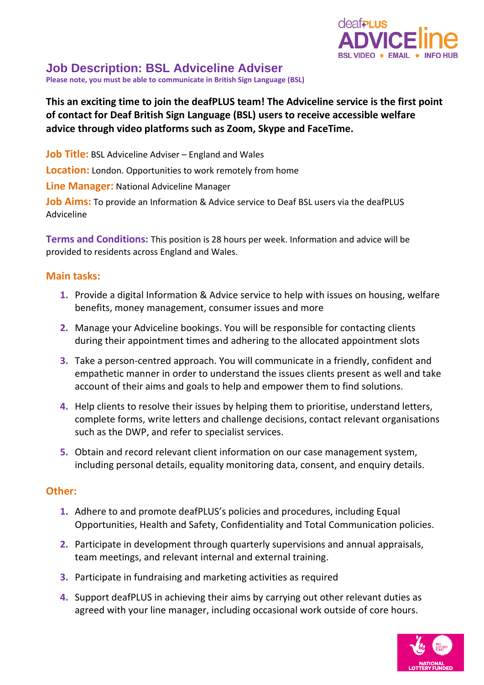

# **Job Description: BSL Adviceline Adviser**

**Please note, you must be able to communicate in British Sign Language (BSL)**

### **This an exciting time to join the deafPLUS team! The Adviceline service is the first point of contact for Deaf British Sign Language (BSL) users to receive accessible welfare advice through video platforms such as Zoom, Skype and FaceTime.**

**Job Title:** BSL Adviceline Adviser – England and Wales

**Location:** London. Opportunities to work remotely from home

**Line Manager:** National Adviceline Manager

**Job Aims:** To provide an Information & Advice service to Deaf BSL users via the deafPLUS Adviceline

**Terms and Conditions:** This position is 28 hours per week. Information and advice will be provided to residents across England and Wales.

#### **Main tasks:**

- **1.** Provide a digital Information & Advice service to help with issues on housing, welfare benefits, money management, consumer issues and more
- **2.** Manage your Adviceline bookings. You will be responsible for contacting clients during their appointment times and adhering to the allocated appointment slots
- **3.** Take a person-centred approach. You will communicate in a friendly, confident and empathetic manner in order to understand the issues clients present as well and take account of their aims and goals to help and empower them to find solutions.
- **4.** Help clients to resolve their issues by helping them to prioritise, understand letters, complete forms, write letters and challenge decisions, contact relevant organisations such as the DWP, and refer to specialist services.
- **5.** Obtain and record relevant client information on our case management system, including personal details, equality monitoring data, consent, and enquiry details.

#### **Other:**

- **1.** Adhere to and promote deafPLUS's policies and procedures, including Equal Opportunities, Health and Safety, Confidentiality and Total Communication policies.
- **2.** Participate in development through quarterly supervisions and annual appraisals, team meetings, and relevant internal and external training.
- **3.** Participate in fundraising and marketing activities as required
- **4.** Support deafPLUS in achieving their aims by carrying out other relevant duties as agreed with your line manager, including occasional work outside of core hours.